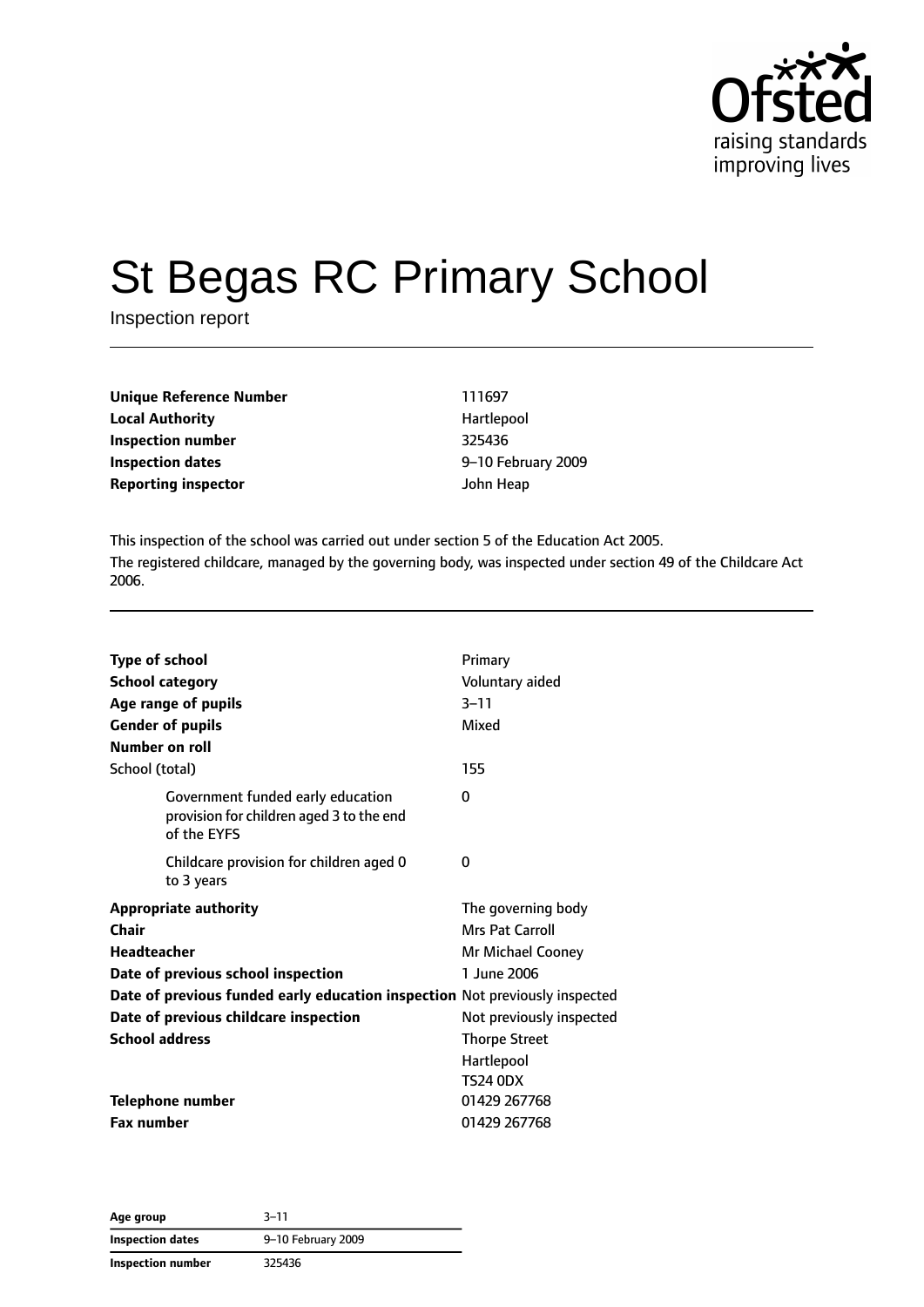

# St Begas RC Primary School

Inspection report

| Unique Reference Number    | 111697     |
|----------------------------|------------|
| <b>Local Authority</b>     | Hartlepool |
| Inspection number          | 325436     |
| Inspection dates           | 9–10 Febru |
| <b>Reporting inspector</b> | John Heap  |

**Local Authority** Hartlepool **Inspection number** 325436 **Inspection dates** 9–10 February 2009

This inspection of the school was carried out under section 5 of the Education Act 2005. The registered childcare, managed by the governing body, was inspected under section 49 of the Childcare Act 2006.

| <b>Type of school</b> |                                                                                              | Primary                  |
|-----------------------|----------------------------------------------------------------------------------------------|--------------------------|
|                       | <b>School category</b>                                                                       | Voluntary aided          |
|                       | Age range of pupils                                                                          | $3 - 11$                 |
|                       | <b>Gender of pupils</b>                                                                      | Mixed                    |
| Number on roll        |                                                                                              |                          |
| School (total)        |                                                                                              | 155                      |
|                       | Government funded early education<br>provision for children aged 3 to the end<br>of the EYFS | 0                        |
|                       | Childcare provision for children aged 0<br>to 3 years                                        | 0                        |
|                       | <b>Appropriate authority</b>                                                                 | The governing body       |
| Chair                 |                                                                                              | Mrs Pat Carroll          |
| <b>Headteacher</b>    |                                                                                              | Mr Michael Cooney        |
|                       | Date of previous school inspection                                                           | 1 June 2006              |
|                       | Date of previous funded early education inspection Not previously inspected                  |                          |
|                       | Date of previous childcare inspection                                                        | Not previously inspected |
| <b>School address</b> |                                                                                              | <b>Thorpe Street</b>     |
|                       |                                                                                              | Hartlepool               |
|                       |                                                                                              | TS24 0DX                 |
|                       | <b>Telephone number</b>                                                                      | 01429 267768             |
| <b>Fax number</b>     |                                                                                              | 01429 267768             |

**Age group** 3–11 **Inspection dates** 9–10 February 2009 **Inspection number** 325436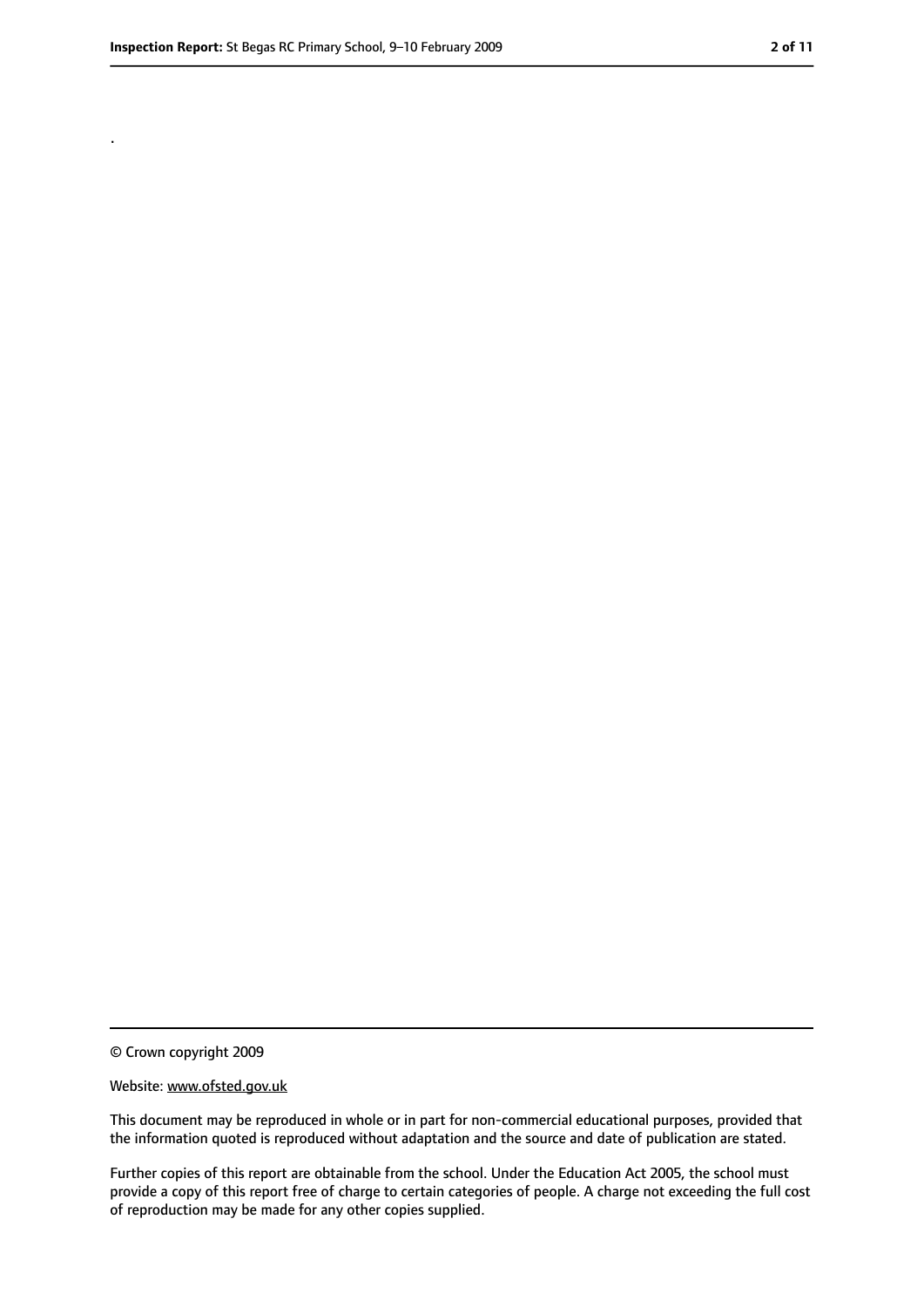.

<sup>©</sup> Crown copyright 2009

Website: www.ofsted.gov.uk

This document may be reproduced in whole or in part for non-commercial educational purposes, provided that the information quoted is reproduced without adaptation and the source and date of publication are stated.

Further copies of this report are obtainable from the school. Under the Education Act 2005, the school must provide a copy of this report free of charge to certain categories of people. A charge not exceeding the full cost of reproduction may be made for any other copies supplied.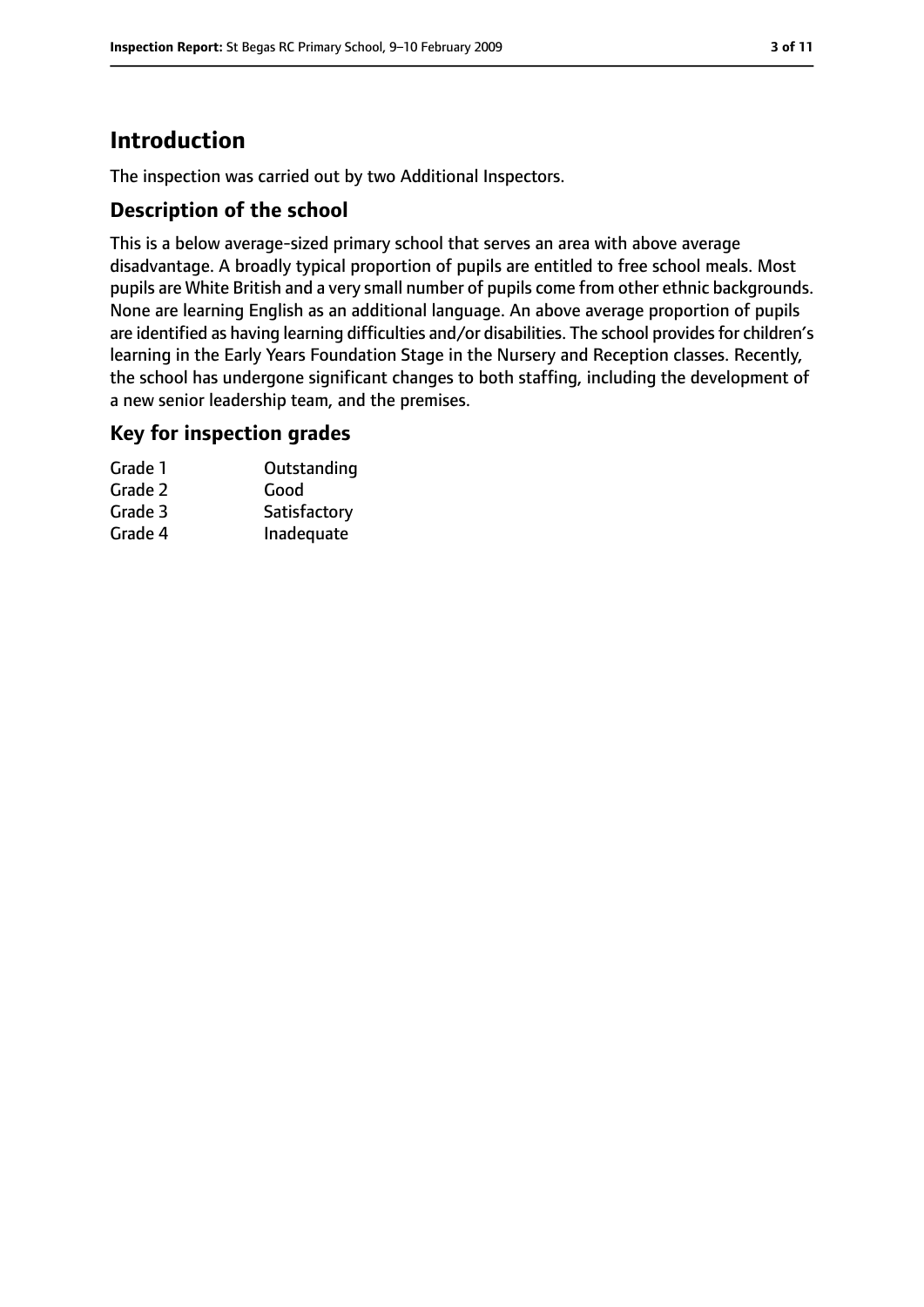# **Introduction**

The inspection was carried out by two Additional Inspectors.

#### **Description of the school**

This is a below average-sized primary school that serves an area with above average disadvantage. A broadly typical proportion of pupils are entitled to free school meals. Most pupils are White British and a very small number of pupils come from other ethnic backgrounds. None are learning English as an additional language. An above average proportion of pupils are identified as having learning difficulties and/or disabilities. The school provides for children's learning in the Early Years Foundation Stage in the Nursery and Reception classes. Recently, the school has undergone significant changes to both staffing, including the development of a new senior leadership team, and the premises.

#### **Key for inspection grades**

| Grade 1 | Outstanding  |
|---------|--------------|
| Grade 2 | Good         |
| Grade 3 | Satisfactory |
| Grade 4 | Inadequate   |
|         |              |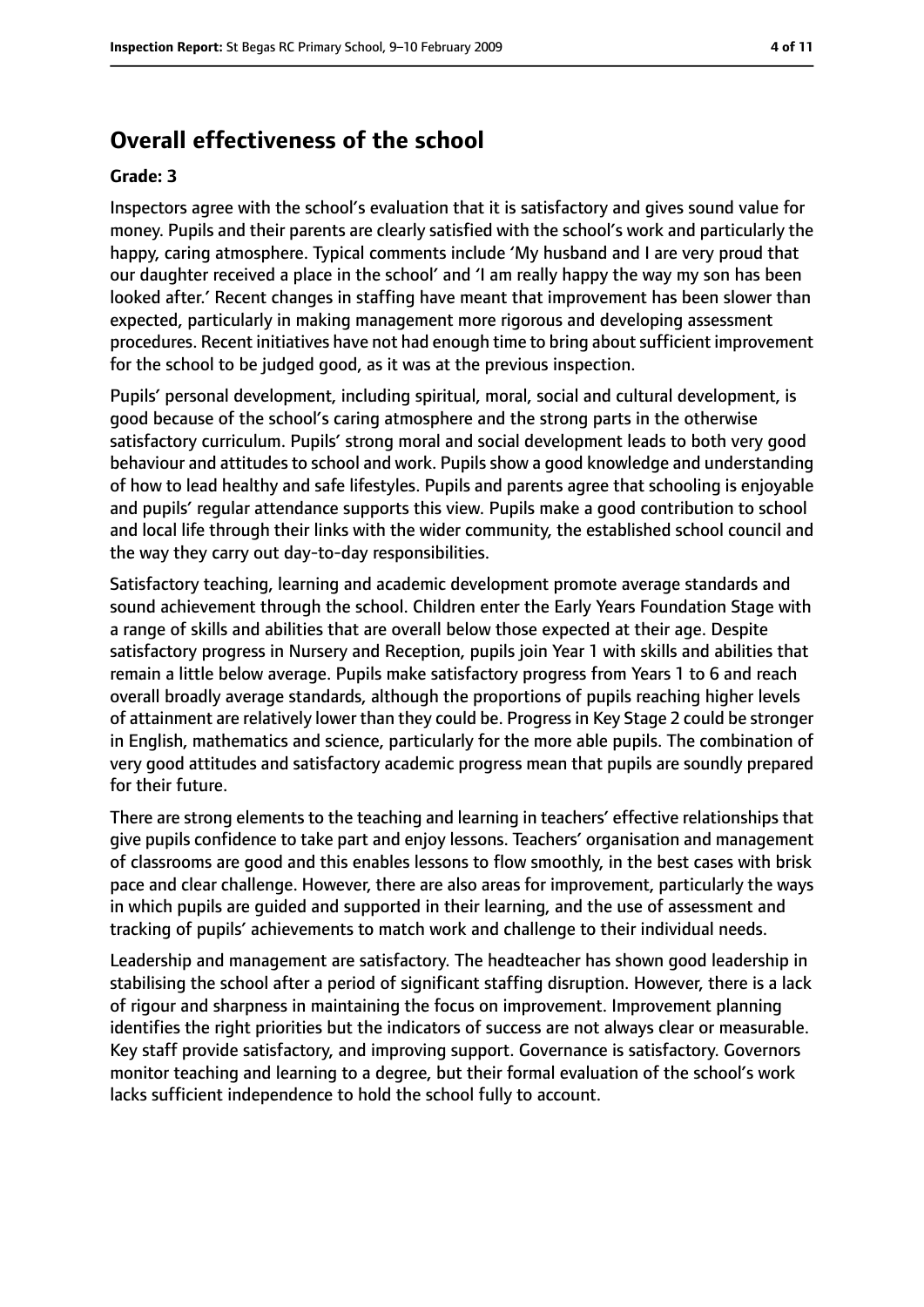#### **Overall effectiveness of the school**

#### **Grade: 3**

Inspectors agree with the school's evaluation that it is satisfactory and gives sound value for money. Pupils and their parents are clearly satisfied with the school's work and particularly the happy, caring atmosphere. Typical comments include 'My husband and I are very proud that our daughter received a place in the school' and 'I am really happy the way my son has been looked after.' Recent changes in staffing have meant that improvement has been slower than expected, particularly in making management more rigorous and developing assessment procedures. Recent initiatives have not had enough time to bring about sufficient improvement for the school to be judged good, as it was at the previous inspection.

Pupils' personal development, including spiritual, moral, social and cultural development, is good because of the school's caring atmosphere and the strong parts in the otherwise satisfactory curriculum. Pupils' strong moral and social development leads to both very good behaviour and attitudes to school and work. Pupils show a good knowledge and understanding of how to lead healthy and safe lifestyles. Pupils and parents agree that schooling is enjoyable and pupils' regular attendance supports this view. Pupils make a good contribution to school and local life through their links with the wider community, the established school council and the way they carry out day-to-day responsibilities.

Satisfactory teaching, learning and academic development promote average standards and sound achievement through the school. Children enter the Early Years Foundation Stage with a range of skills and abilities that are overall below those expected at their age. Despite satisfactory progress in Nursery and Reception, pupils join Year 1 with skills and abilities that remain a little below average. Pupils make satisfactory progress from Years 1 to 6 and reach overall broadly average standards, although the proportions of pupils reaching higher levels of attainment are relatively lower than they could be. Progress in Key Stage 2 could be stronger in English, mathematics and science, particularly for the more able pupils. The combination of very good attitudes and satisfactory academic progress mean that pupils are soundly prepared for their future.

There are strong elements to the teaching and learning in teachers' effective relationships that give pupils confidence to take part and enjoy lessons. Teachers' organisation and management of classrooms are good and this enables lessons to flow smoothly, in the best cases with brisk pace and clear challenge. However, there are also areas for improvement, particularly the ways in which pupils are guided and supported in their learning, and the use of assessment and tracking of pupils' achievements to match work and challenge to their individual needs.

Leadership and management are satisfactory. The headteacher has shown good leadership in stabilising the school after a period of significant staffing disruption. However, there is a lack of rigour and sharpness in maintaining the focus on improvement. Improvement planning identifies the right priorities but the indicators of success are not always clear or measurable. Key staff provide satisfactory, and improving support. Governance is satisfactory. Governors monitor teaching and learning to a degree, but their formal evaluation of the school's work lacks sufficient independence to hold the school fully to account.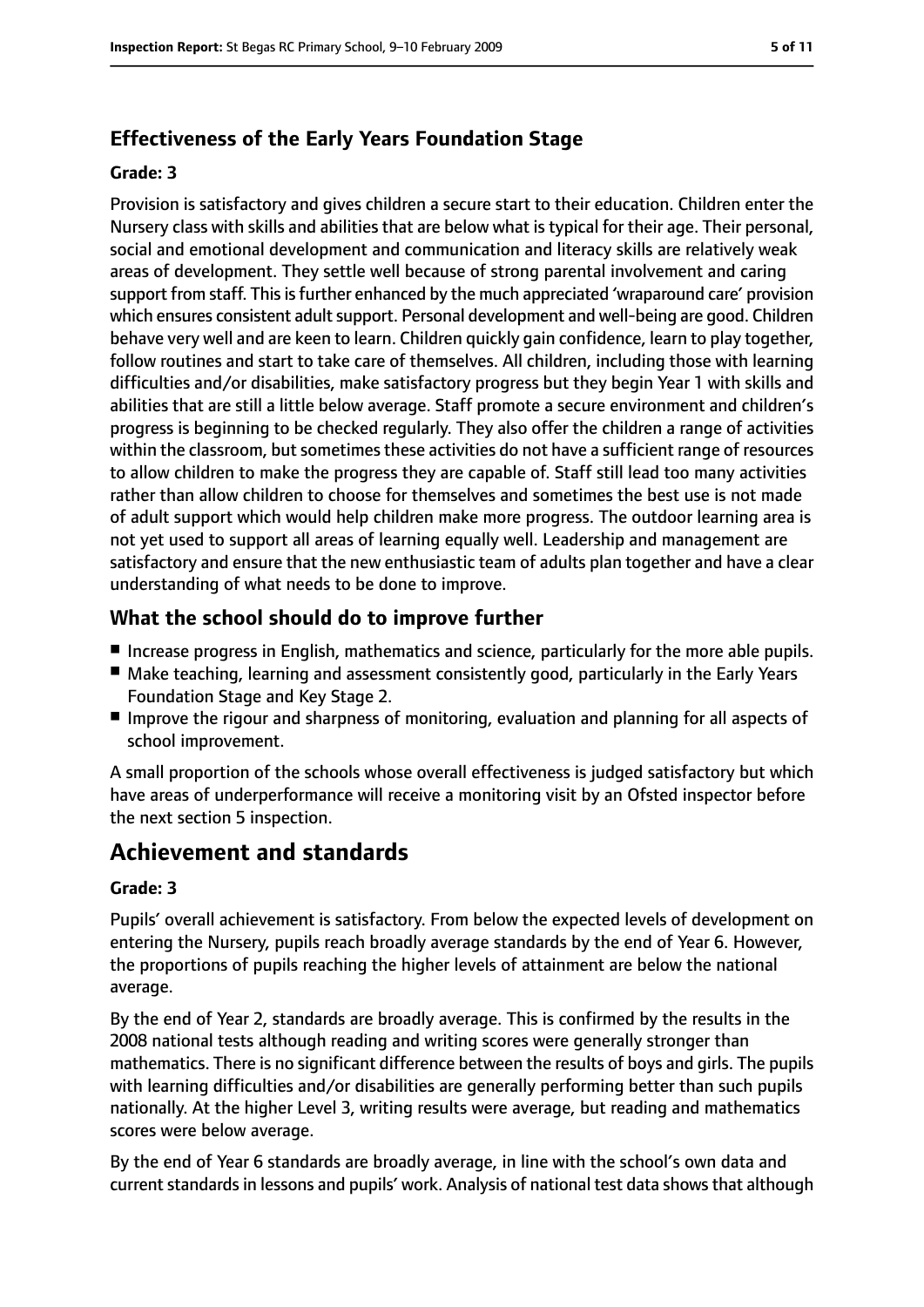#### **Effectiveness of the Early Years Foundation Stage**

#### **Grade: 3**

Provision is satisfactory and gives children a secure start to their education. Children enter the Nursery class with skills and abilities that are below what is typical for their age. Their personal, social and emotional development and communication and literacy skills are relatively weak areas of development. They settle well because of strong parental involvement and caring support from staff. This is further enhanced by the much appreciated 'wraparound care' provision which ensures consistent adult support. Personal development and well-being are good. Children behave very well and are keen to learn. Children quickly gain confidence, learn to play together, follow routines and start to take care of themselves. All children, including those with learning difficulties and/or disabilities, make satisfactory progress but they begin Year 1 with skills and abilities that are still a little below average. Staff promote a secure environment and children's progress is beginning to be checked regularly. They also offer the children a range of activities within the classroom, but sometimes these activities do not have a sufficient range of resources to allow children to make the progress they are capable of. Staff still lead too many activities rather than allow children to choose for themselves and sometimes the best use is not made of adult support which would help children make more progress. The outdoor learning area is not yet used to support all areas of learning equally well. Leadership and management are satisfactory and ensure that the new enthusiastic team of adults plan together and have a clear understanding of what needs to be done to improve.

#### **What the school should do to improve further**

- Increase progress in English, mathematics and science, particularly for the more able pupils.
- Make teaching, learning and assessment consistently good, particularly in the Early Years Foundation Stage and Key Stage 2.
- Improve the rigour and sharpness of monitoring, evaluation and planning for all aspects of school improvement.

A small proportion of the schools whose overall effectiveness is judged satisfactory but which have areas of underperformance will receive a monitoring visit by an Ofsted inspector before the next section 5 inspection.

## **Achievement and standards**

#### **Grade: 3**

Pupils' overall achievement is satisfactory. From below the expected levels of development on entering the Nursery, pupils reach broadly average standards by the end of Year 6. However, the proportions of pupils reaching the higher levels of attainment are below the national average.

By the end of Year 2, standards are broadly average. This is confirmed by the results in the 2008 national tests although reading and writing scores were generally stronger than mathematics. There is no significant difference between the results of boys and girls. The pupils with learning difficulties and/or disabilities are generally performing better than such pupils nationally. At the higher Level 3, writing results were average, but reading and mathematics scores were below average.

By the end of Year 6 standards are broadly average, in line with the school's own data and current standards in lessons and pupils' work. Analysis of national test data shows that although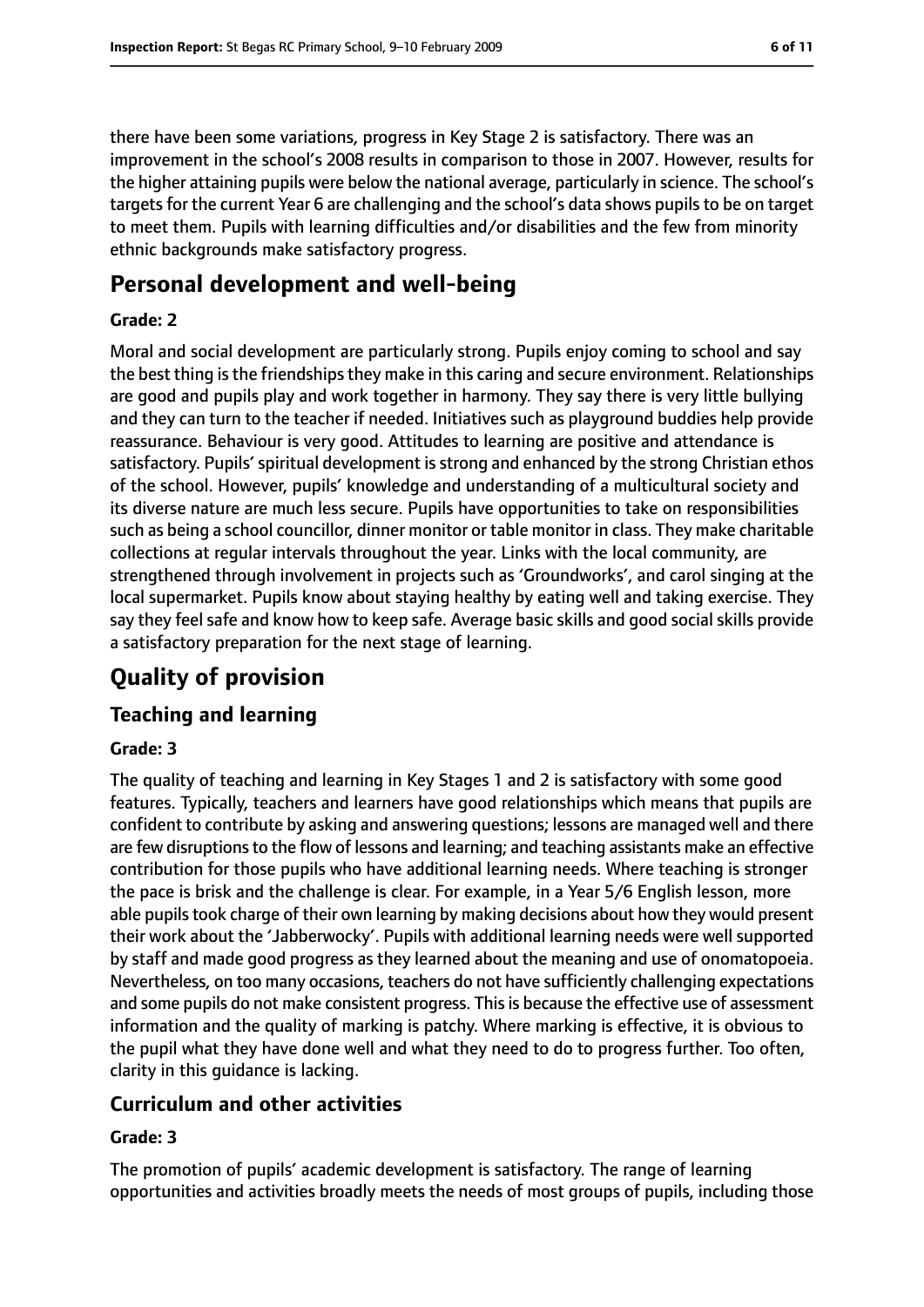there have been some variations, progress in Key Stage 2 is satisfactory. There was an improvement in the school's 2008 results in comparison to those in 2007. However, results for the higher attaining pupils were below the national average, particularly in science. The school's targets for the current Year 6 are challenging and the school's data shows pupils to be on target to meet them. Pupils with learning difficulties and/or disabilities and the few from minority ethnic backgrounds make satisfactory progress.

# **Personal development and well-being**

#### **Grade: 2**

Moral and social development are particularly strong. Pupils enjoy coming to school and say the best thing is the friendships they make in this caring and secure environment. Relationships are good and pupils play and work together in harmony. They say there is very little bullying and they can turn to the teacher if needed. Initiatives such as playground buddies help provide reassurance. Behaviour is very good. Attitudes to learning are positive and attendance is satisfactory. Pupils' spiritual development is strong and enhanced by the strong Christian ethos of the school. However, pupils' knowledge and understanding of a multicultural society and its diverse nature are much less secure. Pupils have opportunities to take on responsibilities such as being a school councillor, dinner monitor or table monitor in class. They make charitable collections at regular intervals throughout the year. Links with the local community, are strengthened through involvement in projects such as 'Groundworks', and carol singing at the local supermarket. Pupils know about staying healthy by eating well and taking exercise. They say they feel safe and know how to keep safe. Average basic skills and good social skills provide a satisfactory preparation for the next stage of learning.

# **Quality of provision**

#### **Teaching and learning**

#### **Grade: 3**

The quality of teaching and learning in Key Stages 1 and 2 is satisfactory with some good features. Typically, teachers and learners have good relationships which means that pupils are confident to contribute by asking and answering questions; lessons are managed well and there are few disruptions to the flow of lessons and learning; and teaching assistants make an effective contribution for those pupils who have additional learning needs. Where teaching is stronger the pace is brisk and the challenge is clear. For example, in a Year 5/6 English lesson, more able pupils took charge of their own learning by making decisions about how they would present their work about the 'Jabberwocky'. Pupils with additional learning needs were well supported by staff and made good progress as they learned about the meaning and use of onomatopoeia. Nevertheless, on too many occasions, teachers do not have sufficiently challenging expectations and some pupils do not make consistent progress. This is because the effective use of assessment information and the quality of marking is patchy. Where marking is effective, it is obvious to the pupil what they have done well and what they need to do to progress further. Too often, clarity in this guidance is lacking.

#### **Curriculum and other activities**

#### **Grade: 3**

The promotion of pupils' academic development is satisfactory. The range of learning opportunities and activities broadly meets the needs of most groups of pupils, including those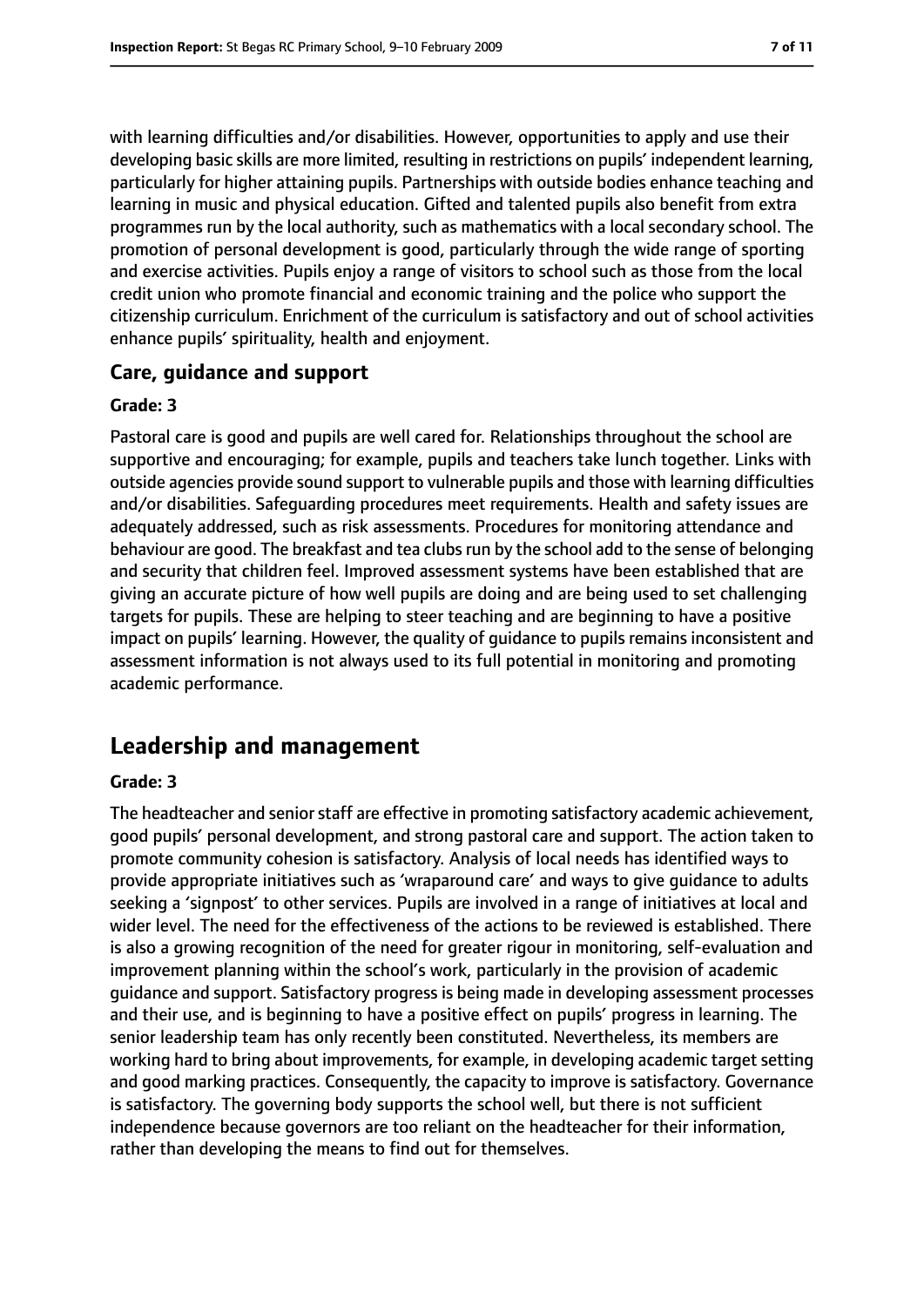with learning difficulties and/or disabilities. However, opportunities to apply and use their developing basic skills are more limited, resulting in restrictions on pupils' independent learning, particularly for higher attaining pupils. Partnerships with outside bodies enhance teaching and learning in music and physical education. Gifted and talented pupils also benefit from extra programmes run by the local authority, such as mathematics with a local secondary school. The promotion of personal development is good, particularly through the wide range of sporting and exercise activities. Pupils enjoy a range of visitors to school such as those from the local credit union who promote financial and economic training and the police who support the citizenship curriculum. Enrichment of the curriculum is satisfactory and out of school activities enhance pupils' spirituality, health and enjoyment.

#### **Care, guidance and support**

#### **Grade: 3**

Pastoral care is good and pupils are well cared for. Relationships throughout the school are supportive and encouraging; for example, pupils and teachers take lunch together. Links with outside agencies provide sound support to vulnerable pupils and those with learning difficulties and/or disabilities. Safeguarding procedures meet requirements. Health and safety issues are adequately addressed, such as risk assessments. Procedures for monitoring attendance and behaviour are good. The breakfast and tea clubsrun by the school add to the sense of belonging and security that children feel. Improved assessment systems have been established that are giving an accurate picture of how well pupils are doing and are being used to set challenging targets for pupils. These are helping to steer teaching and are beginning to have a positive impact on pupils' learning. However, the quality of guidance to pupils remains inconsistent and assessment information is not always used to its full potential in monitoring and promoting academic performance.

### **Leadership and management**

#### **Grade: 3**

The headteacher and senior staff are effective in promoting satisfactory academic achievement, good pupils' personal development, and strong pastoral care and support. The action taken to promote community cohesion is satisfactory. Analysis of local needs has identified ways to provide appropriate initiatives such as 'wraparound care' and ways to give guidance to adults seeking a 'signpost' to other services. Pupils are involved in a range of initiatives at local and wider level. The need for the effectiveness of the actions to be reviewed is established. There is also a growing recognition of the need for greater rigour in monitoring, self-evaluation and improvement planning within the school's work, particularly in the provision of academic guidance and support. Satisfactory progress is being made in developing assessment processes and their use, and is beginning to have a positive effect on pupils' progress in learning. The senior leadership team has only recently been constituted. Nevertheless, its members are working hard to bring about improvements, for example, in developing academic target setting and good marking practices. Consequently, the capacity to improve is satisfactory. Governance is satisfactory. The governing body supports the school well, but there is not sufficient independence because governors are too reliant on the headteacher for their information, rather than developing the means to find out for themselves.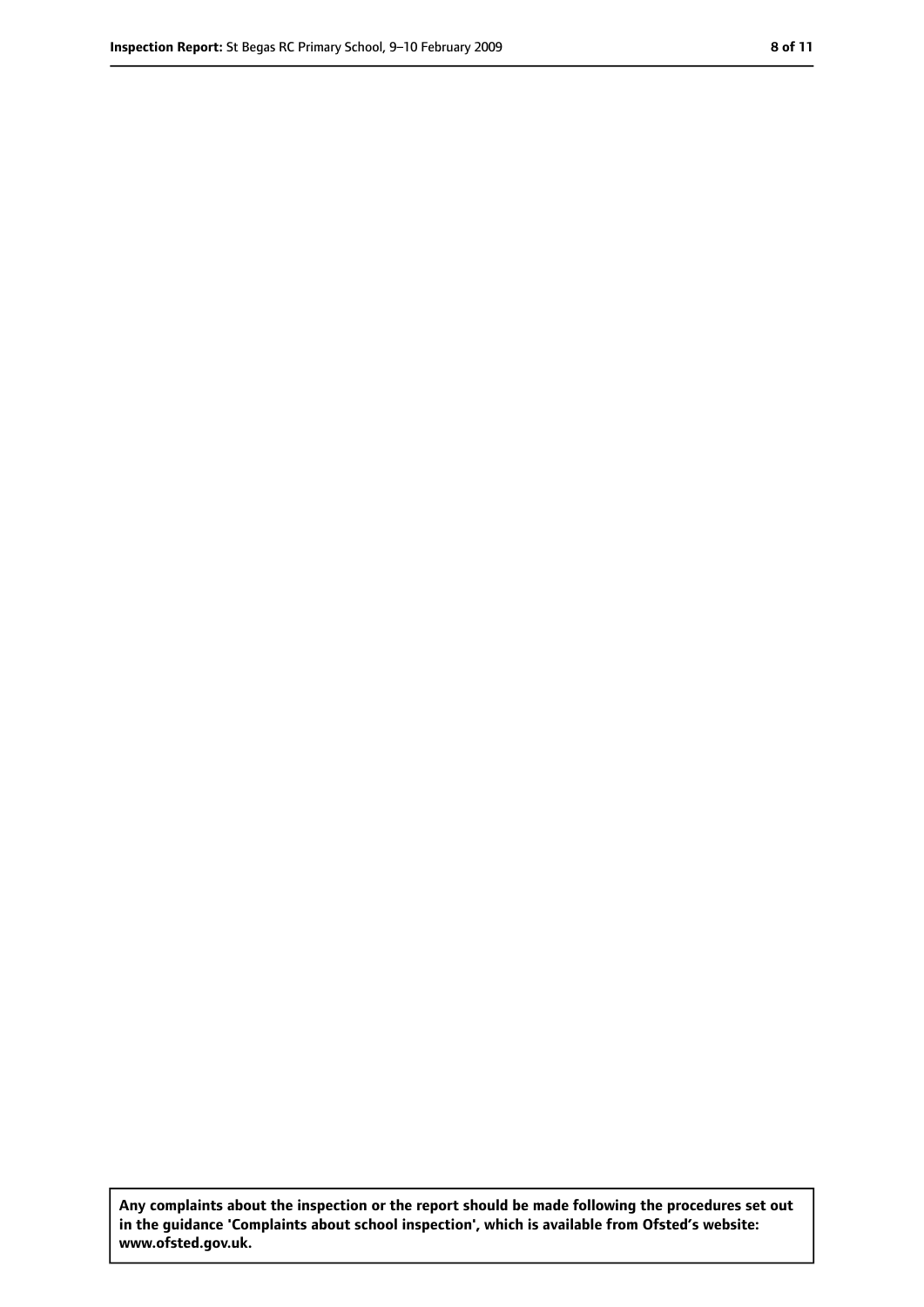**Any complaints about the inspection or the report should be made following the procedures set out in the guidance 'Complaints about school inspection', which is available from Ofsted's website: www.ofsted.gov.uk.**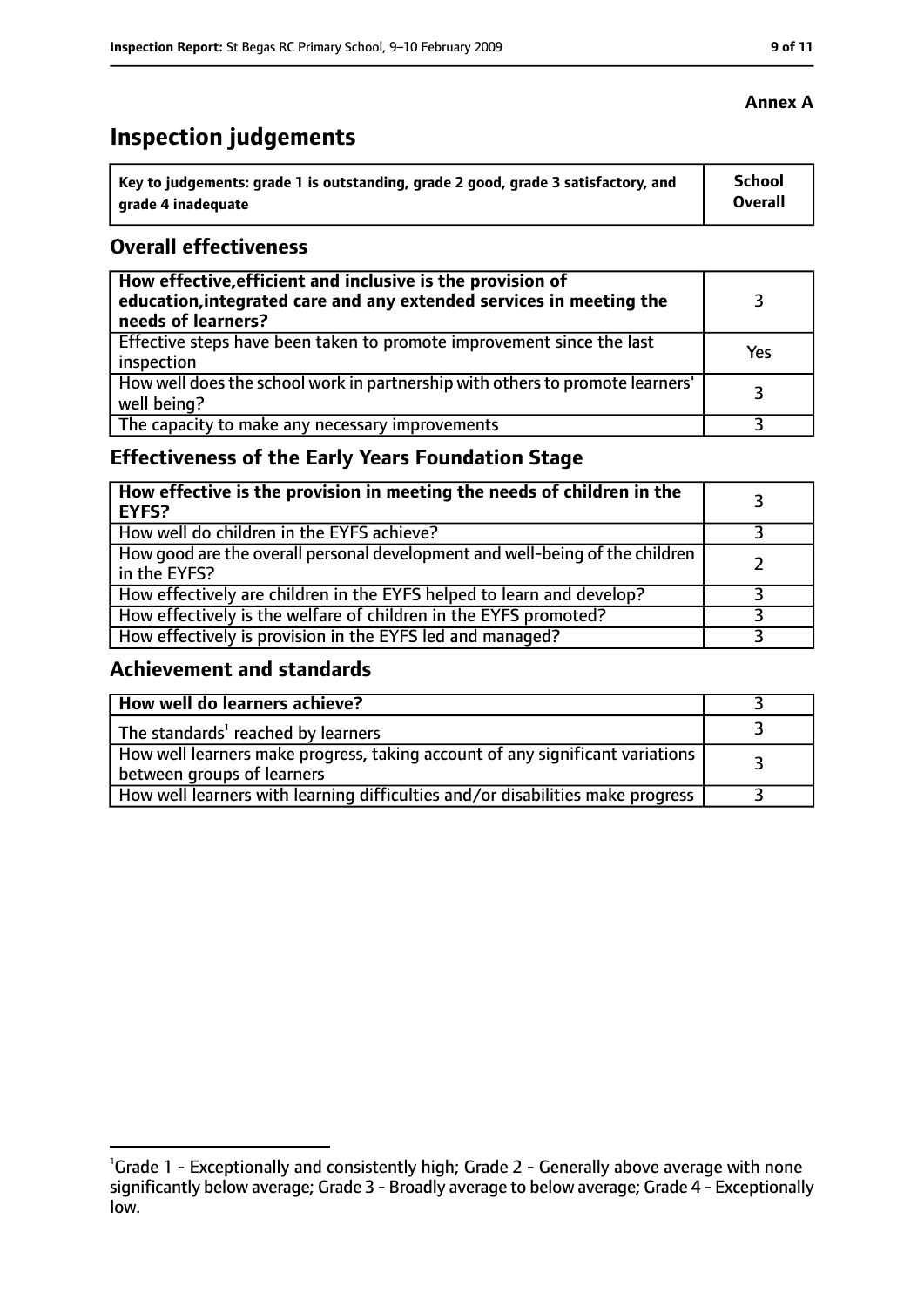# **Inspection judgements**

| Key to judgements: grade 1 is outstanding, grade 2 good, grade 3 satisfactory, and | School  |
|------------------------------------------------------------------------------------|---------|
| arade 4 inadequate                                                                 | Overall |

#### **Overall effectiveness**

| How effective, efficient and inclusive is the provision of<br>education, integrated care and any extended services in meeting the<br>needs of learners? |     |
|---------------------------------------------------------------------------------------------------------------------------------------------------------|-----|
| Effective steps have been taken to promote improvement since the last<br>inspection                                                                     | Yes |
| How well does the school work in partnership with others to promote learners'<br>well being?                                                            | २   |
| The capacity to make any necessary improvements                                                                                                         |     |

### **Effectiveness of the Early Years Foundation Stage**

| How effective is the provision in meeting the needs of children in the<br><b>EYFS?</b>       |  |
|----------------------------------------------------------------------------------------------|--|
| How well do children in the EYFS achieve?                                                    |  |
| How good are the overall personal development and well-being of the children<br>in the EYFS? |  |
| How effectively are children in the EYFS helped to learn and develop?                        |  |
| How effectively is the welfare of children in the EYFS promoted?                             |  |
| How effectively is provision in the EYFS led and managed?                                    |  |

#### **Achievement and standards**

| How well do learners achieve?                                                                               |  |
|-------------------------------------------------------------------------------------------------------------|--|
| The standards <sup>1</sup> reached by learners                                                              |  |
| How well learners make progress, taking account of any significant variations<br>between groups of learners |  |
| How well learners with learning difficulties and/or disabilities make progress                              |  |

<sup>&</sup>lt;sup>1</sup>Grade 1 - Exceptionally and consistently high; Grade 2 - Generally above average with none significantly below average; Grade 3 - Broadly average to below average; Grade 4 - Exceptionally low.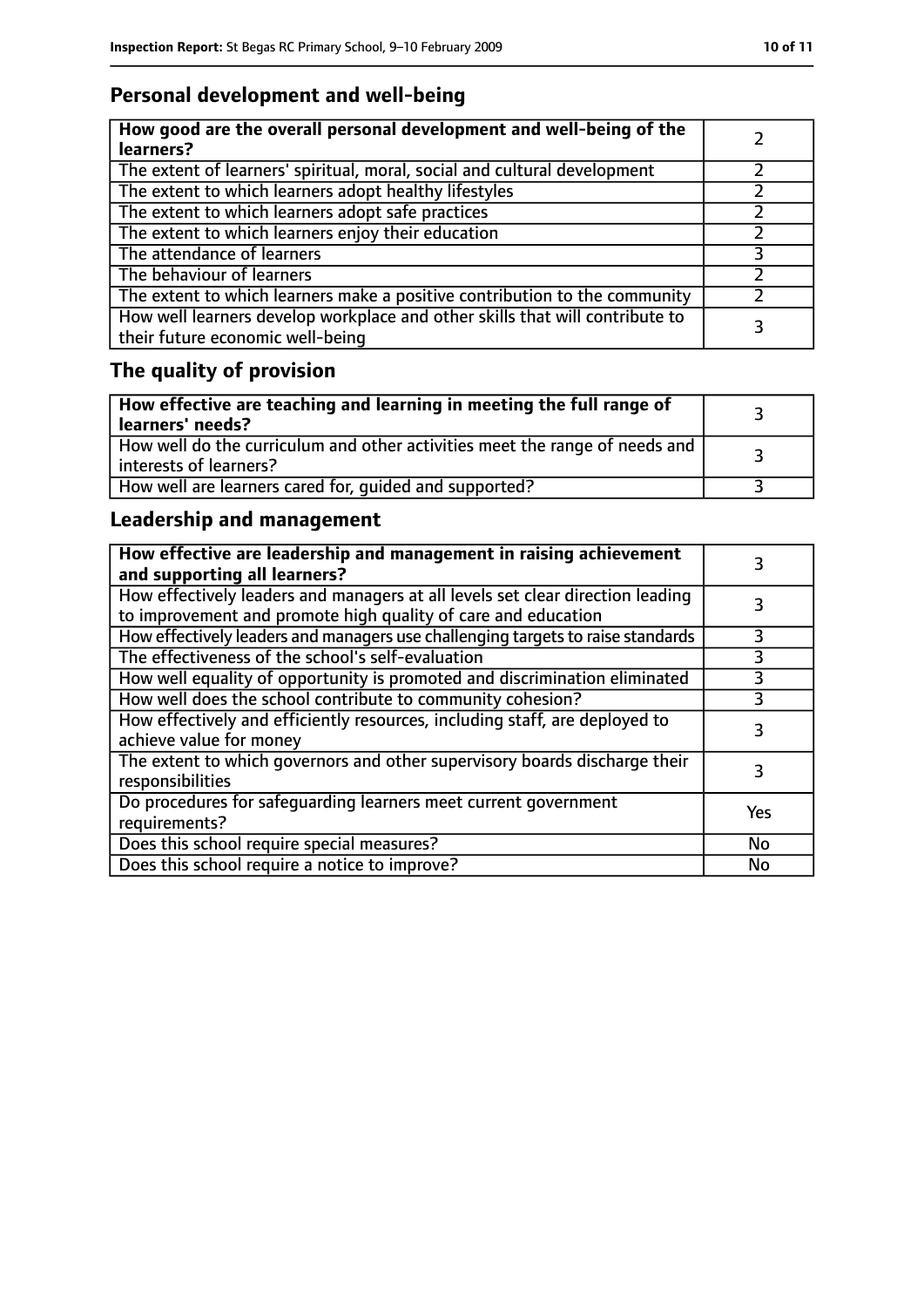# **Personal development and well-being**

| How good are the overall personal development and well-being of the<br>learners?                                 |  |
|------------------------------------------------------------------------------------------------------------------|--|
| The extent of learners' spiritual, moral, social and cultural development                                        |  |
| The extent to which learners adopt healthy lifestyles                                                            |  |
| The extent to which learners adopt safe practices                                                                |  |
| The extent to which learners enjoy their education                                                               |  |
| The attendance of learners                                                                                       |  |
| The behaviour of learners                                                                                        |  |
| The extent to which learners make a positive contribution to the community                                       |  |
| How well learners develop workplace and other skills that will contribute to<br>their future economic well-being |  |

# **The quality of provision**

| $\vert$ How effective are teaching and learning in meeting the full range of<br>learners' needs?        |  |
|---------------------------------------------------------------------------------------------------------|--|
| How well do the curriculum and other activities meet the range of needs and<br>  interests of learners? |  |
| How well are learners cared for, quided and supported?                                                  |  |

### **Leadership and management**

| How effective are leadership and management in raising achievement<br>and supporting all learners?                                              |     |
|-------------------------------------------------------------------------------------------------------------------------------------------------|-----|
| How effectively leaders and managers at all levels set clear direction leading<br>to improvement and promote high quality of care and education |     |
| How effectively leaders and managers use challenging targets to raise standards                                                                 |     |
| The effectiveness of the school's self-evaluation                                                                                               | 3   |
| How well equality of opportunity is promoted and discrimination eliminated                                                                      | 3   |
| How well does the school contribute to community cohesion?                                                                                      | 3   |
| How effectively and efficiently resources, including staff, are deployed to<br>achieve value for money                                          | 3   |
| The extent to which governors and other supervisory boards discharge their<br>responsibilities                                                  |     |
| Do procedures for safequarding learners meet current government<br>requirements?                                                                | Yes |
| Does this school require special measures?                                                                                                      | No  |
| Does this school require a notice to improve?                                                                                                   | No  |